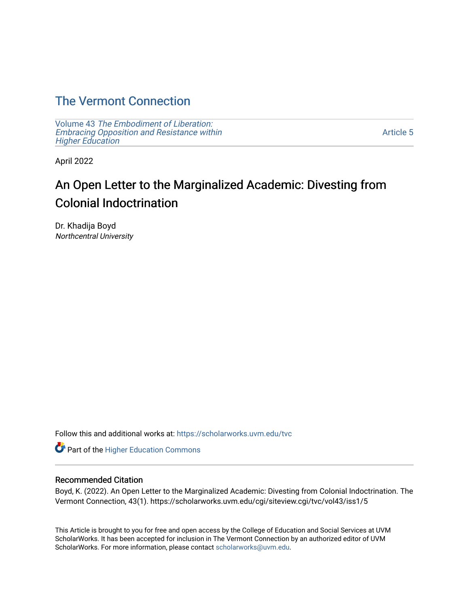## [The Vermont Connection](https://scholarworks.uvm.edu/tvc)

Volume 43 [The Embodiment of Liberation:](https://scholarworks.uvm.edu/tvc/vol43) [Embracing Opposition and Resistance within](https://scholarworks.uvm.edu/tvc/vol43)  [Higher Education](https://scholarworks.uvm.edu/tvc/vol43) 

[Article 5](https://scholarworks.uvm.edu/tvc/vol43/iss1/5) 

April 2022

# An Open Letter to the Marginalized Academic: Divesting from Colonial Indoctrination

Dr. Khadija Boyd Northcentral University

Follow this and additional works at: [https://scholarworks.uvm.edu/tvc](https://scholarworks.uvm.edu/tvc?utm_source=scholarworks.uvm.edu%2Ftvc%2Fvol43%2Fiss1%2F5&utm_medium=PDF&utm_campaign=PDFCoverPages)

Part of the [Higher Education Commons](http://network.bepress.com/hgg/discipline/1245?utm_source=scholarworks.uvm.edu%2Ftvc%2Fvol43%2Fiss1%2F5&utm_medium=PDF&utm_campaign=PDFCoverPages) 

#### Recommended Citation

Boyd, K. (2022). An Open Letter to the Marginalized Academic: Divesting from Colonial Indoctrination. The Vermont Connection, 43(1). https://scholarworks.uvm.edu/cgi/siteview.cgi/tvc/vol43/iss1/5

This Article is brought to you for free and open access by the College of Education and Social Services at UVM ScholarWorks. It has been accepted for inclusion in The Vermont Connection by an authorized editor of UVM ScholarWorks. For more information, please contact [scholarworks@uvm.edu](mailto:scholarworks@uvm.edu).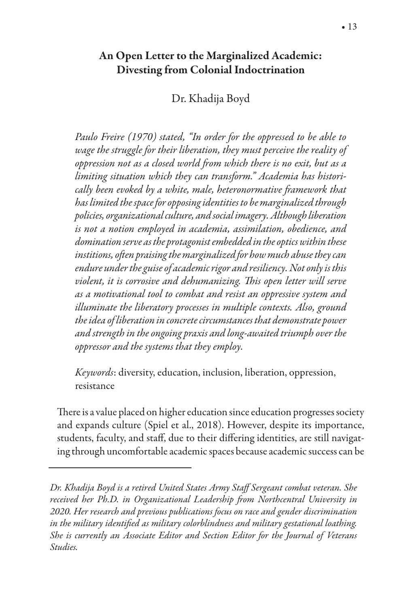### An Open Letter to the Marginalized Academic: Divesting from Colonial Indoctrination

Dr. Khadija Boyd

*Paulo Freire (1970) stated, "In order for the oppressed to be able to wage the struggle for their liberation, they must perceive the reality of oppression not as a closed world* !*om which there is no exit, but as a limiting situation which they can transform." Academia has historically been evoked by a white, male, heteronormative* !*amework that has limited the space for opposing identities to be marginalized through policies, organizational culture, and social imagery. Although liberation is not a notion employed in academia, assimilation, obedience, and domination serve as the protagonist embedded in the optics within these institions, o*%*en praising the marginalized for how much abuse they can endure under the guise of academic rigor and resiliency. Not only is this violent, it is corrosive and dehumanizing.* \$*is open letter will serve as a motivational tool to combat and resist an oppressive system and illuminate the liberatory processes in multiple contexts. Also, ground the idea of liberation in concrete circumstances that demonstrate power and strength in the ongoing praxis and long-awaited triumph over the oppressor and the systems that they employ.*

*Keywords*: diversity, education, inclusion, liberation, oppression, resistance

There is a value placed on higher education since education progresses society and expands culture (Spiel et al., 2018). However, despite its importance, students, faculty, and staff, due to their differing identities, are still navigating through uncomfortable academic spaces because academic success can be

*Dr. Khadija Boyd is a retired United States Army Sta*" *Sergeant combat veteran. She received her Ph.D. in Organizational Leadership* !*om Northcentral University in 2020. Her research and previous publications focus on race and gender discrimination in the military identi*&*ed as military colorblindness and military gestational loathing. She is currently an Associate Editor and Section Editor for the Journal of Veterans Studies.*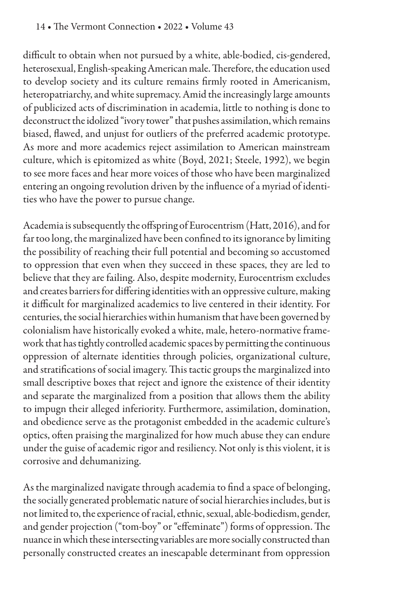difficult to obtain when not pursued by a white, able-bodied, cis-gendered, heterosexual, English-speaking American male. Therefore, the education used to develop society and its culture remains firmly rooted in Americanism, heteropatriarchy, and white supremacy. Amid the increasingly large amounts of publicized acts of discrimination in academia, little to nothing is done to deconstruct the idolized "ivory tower" that pushes assimilation, which remains biased, #awed, and unjust for outliers of the preferred academic prototype. As more and more academics reject assimilation to American mainstream culture, which is epitomized as white (Boyd, 2021; Steele, 1992), we begin to see more faces and hear more voices of those who have been marginalized entering an ongoing revolution driven by the influence of a myriad of identities who have the power to pursue change.

Academia is subsequently the offspring of Eurocentrism (Hatt, 2016), and for far too long, the marginalized have been confined to its ignorance by limiting the possibility of reaching their full potential and becoming so accustomed to oppression that even when they succeed in these spaces, they are led to believe that they are failing. Also, despite modernity, Eurocentrism excludes and creates barriers for differing identities with an oppressive culture, making it difficult for marginalized academics to live centered in their identity. For centuries, the social hierarchies within humanism that have been governed by colonialism have historically evoked a white, male, hetero-normative framework that has tightly controlled academic spaces by permitting the continuous oppression of alternate identities through policies, organizational culture, and stratifications of social imagery. This tactic groups the marginalized into small descriptive boxes that reject and ignore the existence of their identity and separate the marginalized from a position that allows them the ability to impugn their alleged inferiority. Furthermore, assimilation, domination, and obedience serve as the protagonist embedded in the academic culture's optics, often praising the marginalized for how much abuse they can endure under the guise of academic rigor and resiliency. Not only is this violent, it is corrosive and dehumanizing.

As the marginalized navigate through academia to find a space of belonging, the socially generated problematic nature of social hierarchies includes, but is not limited to, the experience of racial, ethnic, sexual, able-bodiedism, gender, and gender projection ("tom-boy" or "effeminate") forms of oppression. The nuance in which these intersecting variables are more socially constructed than personally constructed creates an inescapable determinant from oppression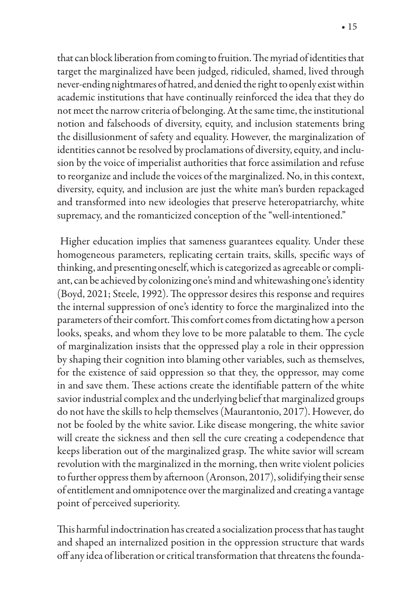that can block liberation from coming to fruition. The myriad of identities that target the marginalized have been judged, ridiculed, shamed, lived through never-ending nightmares of hatred, and denied the right to openly exist within academic institutions that have continually reinforced the idea that they do not meet the narrow criteria of belonging. At the same time, the institutional notion and falsehoods of diversity, equity, and inclusion statements bring the disillusionment of safety and equality. However, the marginalization of identities cannot be resolved by proclamations of diversity, equity, and inclusion by the voice of imperialist authorities that force assimilation and refuse to reorganize and include the voices of the marginalized. No, in this context, diversity, equity, and inclusion are just the white man's burden repackaged and transformed into new ideologies that preserve heteropatriarchy, white supremacy, and the romanticized conception of the "well-intentioned."

 Higher education implies that sameness guarantees equality. Under these homogeneous parameters, replicating certain traits, skills, specific ways of thinking, and presenting oneself, which is categorized as agreeable or compliant, can be achieved by colonizing one's mind and whitewashing one's identity (Boyd, 2021; Steele, 1992). The oppressor desires this response and requires the internal suppression of one's identity to force the marginalized into the parameters of their comfort. This comfort comes from dictating how a person looks, speaks, and whom they love to be more palatable to them. The cycle of marginalization insists that the oppressed play a role in their oppression by shaping their cognition into blaming other variables, such as themselves, for the existence of said oppression so that they, the oppressor, may come in and save them. These actions create the identifiable pattern of the white savior industrial complex and the underlying belief that marginalized groups do not have the skills to help themselves (Maurantonio, 2017). However, do not be fooled by the white savior. Like disease mongering, the white savior will create the sickness and then sell the cure creating a codependence that keeps liberation out of the marginalized grasp. The white savior will scream revolution with the marginalized in the morning, then write violent policies to further oppress them by afternoon (Aronson, 2017), solidifying their sense of entitlement and omnipotence over the marginalized and creating a vantage point of perceived superiority.

This harmful indoctrination has created a socialization process that has taught and shaped an internalized position in the oppression structure that wards off any idea of liberation or critical transformation that threatens the founda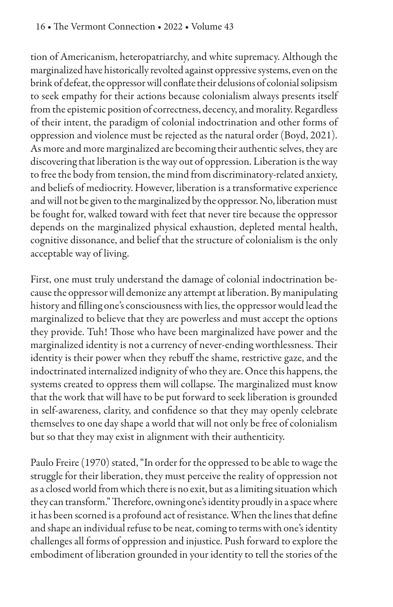tion of Americanism, heteropatriarchy, and white supremacy. Although the marginalized have historically revolted against oppressive systems, even on the brink of defeat, the oppressor will conflate their delusions of colonial solipsism to seek empathy for their actions because colonialism always presents itself from the epistemic position of correctness, decency, and morality. Regardless of their intent, the paradigm of colonial indoctrination and other forms of oppression and violence must be rejected as the natural order (Boyd, 2021). As more and more marginalized are becoming their authentic selves, they are discovering that liberation is the way out of oppression. Liberation is the way to free the body from tension, the mind from discriminatory-related anxiety, and beliefs of mediocrity. However, liberation is a transformative experience and will not be given to the marginalized by the oppressor. No, liberation must be fought for, walked toward with feet that never tire because the oppressor depends on the marginalized physical exhaustion, depleted mental health, cognitive dissonance, and belief that the structure of colonialism is the only acceptable way of living.

First, one must truly understand the damage of colonial indoctrination because the oppressor will demonize any attempt at liberation. By manipulating history and filling one's consciousness with lies, the oppressor would lead the marginalized to believe that they are powerless and must accept the options they provide. Tuh! Those who have been marginalized have power and the marginalized identity is not a currency of never-ending worthlessness. Their identity is their power when they rebuff the shame, restrictive gaze, and the indoctrinated internalized indignity of who they are. Once this happens, the systems created to oppress them will collapse. The marginalized must know that the work that will have to be put forward to seek liberation is grounded in self-awareness, clarity, and confidence so that they may openly celebrate themselves to one day shape a world that will not only be free of colonialism but so that they may exist in alignment with their authenticity.

Paulo Freire (1970) stated, "In order for the oppressed to be able to wage the struggle for their liberation, they must perceive the reality of oppression not as a closed world from which there is no exit, but as a limiting situation which they can transform." Therefore, owning one's identity proudly in a space where it has been scorned is a profound act of resistance. When the lines that define and shape an individual refuse to be neat, coming to terms with one's identity challenges all forms of oppression and injustice. Push forward to explore the embodiment of liberation grounded in your identity to tell the stories of the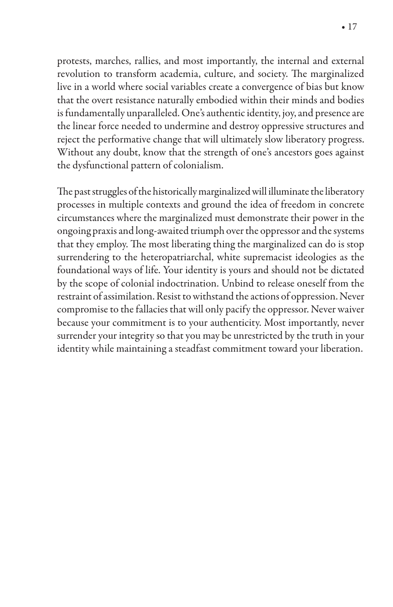protests, marches, rallies, and most importantly, the internal and external revolution to transform academia, culture, and society. The marginalized live in a world where social variables create a convergence of bias but know that the overt resistance naturally embodied within their minds and bodies is fundamentally unparalleled. One's authentic identity, joy, and presence are the linear force needed to undermine and destroy oppressive structures and reject the performative change that will ultimately slow liberatory progress. Without any doubt, know that the strength of one's ancestors goes against the dysfunctional pattern of colonialism.

The past struggles of the historically marginalized will illuminate the liberatory processes in multiple contexts and ground the idea of freedom in concrete circumstances where the marginalized must demonstrate their power in the ongoing praxis and long-awaited triumph over the oppressor and the systems that they employ. The most liberating thing the marginalized can do is stop surrendering to the heteropatriarchal, white supremacist ideologies as the foundational ways of life. Your identity is yours and should not be dictated by the scope of colonial indoctrination. Unbind to release oneself from the restraint of assimilation. Resist to withstand the actions of oppression. Never compromise to the fallacies that will only pacify the oppressor. Never waiver because your commitment is to your authenticity. Most importantly, never surrender your integrity so that you may be unrestricted by the truth in your identity while maintaining a steadfast commitment toward your liberation.